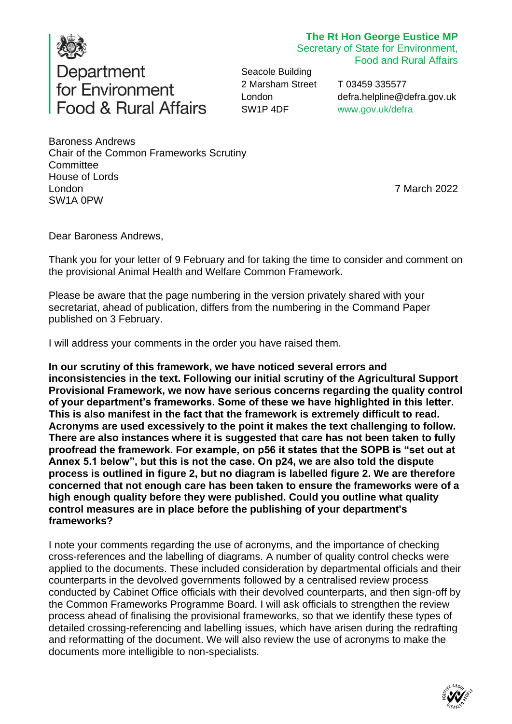

# **The Rt Hon George Eustice MP**

Secretary of State for Environment, Food and Rural Affairs

Seacole Building 2 Marsham Street London SW1P 4DF

T 03459 335577 [defra.helpline@defra.gov.uk](mailto:defra.helpline@defra.gov.uk) [www.gov.uk/defra](http://www.gov.uk/defra)

Baroness Andrews Chair of the Common Frameworks Scrutiny **Committee** House of Lords London SW1A 0PW

7 March 2022

Dear Baroness Andrews,

Thank you for your letter of 9 February and for taking the time to consider and comment on the provisional Animal Health and Welfare Common Framework.

Please be aware that the page numbering in the version privately shared with your secretariat, ahead of publication, differs from the numbering in the Command Paper published on 3 February.

I will address your comments in the order you have raised them.

**In our scrutiny of this framework, we have noticed several errors and inconsistencies in the text. Following our initial scrutiny of the Agricultural Support Provisional Framework, we now have serious concerns regarding the quality control of your department's frameworks. Some of these we have highlighted in this letter. This is also manifest in the fact that the framework is extremely difficult to read. Acronyms are used excessively to the point it makes the text challenging to follow. There are also instances where it is suggested that care has not been taken to fully proofread the framework. For example, on p56 it states that the SOPB is "set out at Annex 5.1 below", but this is not the case. On p24, we are also told the dispute process is outlined in figure 2, but no diagram is labelled figure 2. We are therefore concerned that not enough care has been taken to ensure the frameworks were of a high enough quality before they were published. Could you outline what quality control measures are in place before the publishing of your department's frameworks?**

I note your comments regarding the use of acronyms, and the importance of checking cross-references and the labelling of diagrams. A number of quality control checks were applied to the documents. These included consideration by departmental officials and their counterparts in the devolved governments followed by a centralised review process conducted by Cabinet Office officials with their devolved counterparts, and then sign-off by the Common Frameworks Programme Board. I will ask officials to strengthen the review process ahead of finalising the provisional frameworks, so that we identify these types of detailed crossing-referencing and labelling issues, which have arisen during the redrafting and reformatting of the document. We will also review the use of acronyms to make the documents more intelligible to non-specialists.

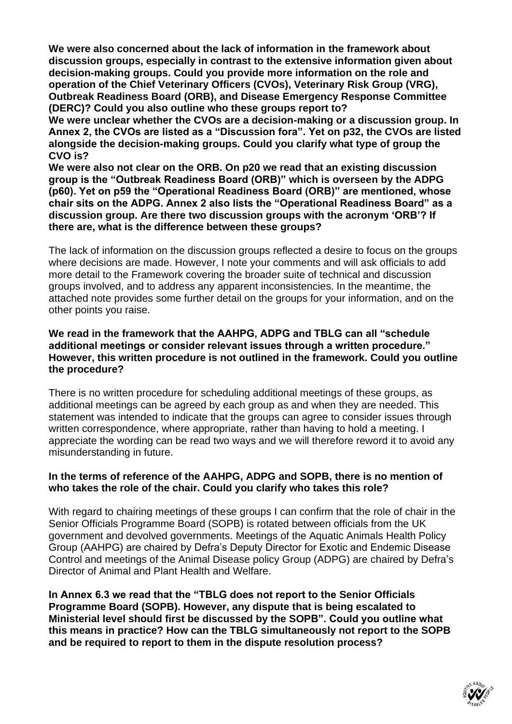**We were also concerned about the lack of information in the framework about discussion groups, especially in contrast to the extensive information given about decision-making groups. Could you provide more information on the role and operation of the Chief Veterinary Officers (CVOs), Veterinary Risk Group (VRG), Outbreak Readiness Board (ORB), and Disease Emergency Response Committee (DERC)? Could you also outline who these groups report to?**

**We were unclear whether the CVOs are a decision-making or a discussion group. In Annex 2, the CVOs are listed as a "Discussion fora". Yet on p32, the CVOs are listed alongside the decision-making groups. Could you clarify what type of group the CVO is?** 

**We were also not clear on the ORB. On p20 we read that an existing discussion group is the "Outbreak Readiness Board (ORB)" which is overseen by the ADPG (p60). Yet on p59 the "Operational Readiness Board (ORB)" are mentioned, whose chair sits on the ADPG. Annex 2 also lists the "Operational Readiness Board" as a discussion group. Are there two discussion groups with the acronym 'ORB'? If there are, what is the difference between these groups?**

The lack of information on the discussion groups reflected a desire to focus on the groups where decisions are made. However, I note your comments and will ask officials to add more detail to the Framework covering the broader suite of technical and discussion groups involved, and to address any apparent inconsistencies. In the meantime, the attached note provides some further detail on the groups for your information, and on the other points you raise.

#### **We read in the framework that the AAHPG, ADPG and TBLG can all "schedule additional meetings or consider relevant issues through a written procedure." However, this written procedure is not outlined in the framework. Could you outline the procedure?**

There is no written procedure for scheduling additional meetings of these groups, as additional meetings can be agreed by each group as and when they are needed. This statement was intended to indicate that the groups can agree to consider issues through written correspondence, where appropriate, rather than having to hold a meeting. I appreciate the wording can be read two ways and we will therefore reword it to avoid any misunderstanding in future.

### **In the terms of reference of the AAHPG, ADPG and SOPB, there is no mention of who takes the role of the chair. Could you clarify who takes this role?**

With regard to chairing meetings of these groups I can confirm that the role of chair in the Senior Officials Programme Board (SOPB) is rotated between officials from the UK government and devolved governments. Meetings of the Aquatic Animals Health Policy Group (AAHPG) are chaired by Defra's Deputy Director for Exotic and Endemic Disease Control and meetings of the Animal Disease policy Group (ADPG) are chaired by Defra's Director of Animal and Plant Health and Welfare.

**In Annex 6.3 we read that the "TBLG does not report to the Senior Officials Programme Board (SOPB). However, any dispute that is being escalated to Ministerial level should first be discussed by the SOPB". Could you outline what this means in practice? How can the TBLG simultaneously not report to the SOPB and be required to report to them in the dispute resolution process?**

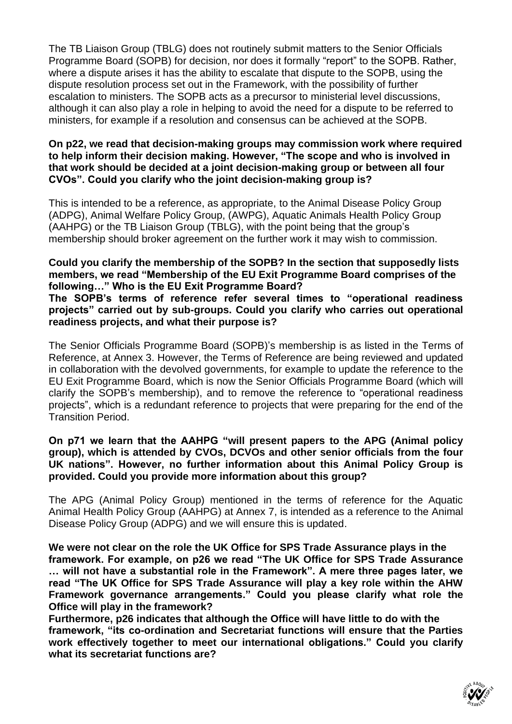The TB Liaison Group (TBLG) does not routinely submit matters to the Senior Officials Programme Board (SOPB) for decision, nor does it formally "report" to the SOPB. Rather, where a dispute arises it has the ability to escalate that dispute to the SOPB, using the dispute resolution process set out in the Framework, with the possibility of further escalation to ministers. The SOPB acts as a precursor to ministerial level discussions, although it can also play a role in helping to avoid the need for a dispute to be referred to ministers, for example if a resolution and consensus can be achieved at the SOPB.

#### **On p22, we read that decision-making groups may commission work where required to help inform their decision making. However, "The scope and who is involved in that work should be decided at a joint decision-making group or between all four CVOs". Could you clarify who the joint decision-making group is?**

This is intended to be a reference, as appropriate, to the Animal Disease Policy Group (ADPG), Animal Welfare Policy Group, (AWPG), Aquatic Animals Health Policy Group (AAHPG) or the TB Liaison Group (TBLG), with the point being that the group's membership should broker agreement on the further work it may wish to commission.

### **Could you clarify the membership of the SOPB? In the section that supposedly lists members, we read "Membership of the EU Exit Programme Board comprises of the following…" Who is the EU Exit Programme Board?**

**The SOPB's terms of reference refer several times to "operational readiness projects" carried out by sub-groups. Could you clarify who carries out operational readiness projects, and what their purpose is?**

The Senior Officials Programme Board (SOPB)'s membership is as listed in the Terms of Reference, at Annex 3. However, the Terms of Reference are being reviewed and updated in collaboration with the devolved governments, for example to update the reference to the EU Exit Programme Board, which is now the Senior Officials Programme Board (which will clarify the SOPB's membership), and to remove the reference to "operational readiness projects", which is a redundant reference to projects that were preparing for the end of the Transition Period.

#### **On p71 we learn that the AAHPG "will present papers to the APG (Animal policy group), which is attended by CVOs, DCVOs and other senior officials from the four UK nations". However, no further information about this Animal Policy Group is provided. Could you provide more information about this group?**

The APG (Animal Policy Group) mentioned in the terms of reference for the Aquatic Animal Health Policy Group (AAHPG) at Annex 7, is intended as a reference to the Animal Disease Policy Group (ADPG) and we will ensure this is updated.

**We were not clear on the role the UK Office for SPS Trade Assurance plays in the framework. For example, on p26 we read "The UK Office for SPS Trade Assurance … will not have a substantial role in the Framework". A mere three pages later, we read "The UK Office for SPS Trade Assurance will play a key role within the AHW Framework governance arrangements." Could you please clarify what role the Office will play in the framework?** 

**Furthermore, p26 indicates that although the Office will have little to do with the framework, "its co-ordination and Secretariat functions will ensure that the Parties work effectively together to meet our international obligations." Could you clarify what its secretariat functions are?**

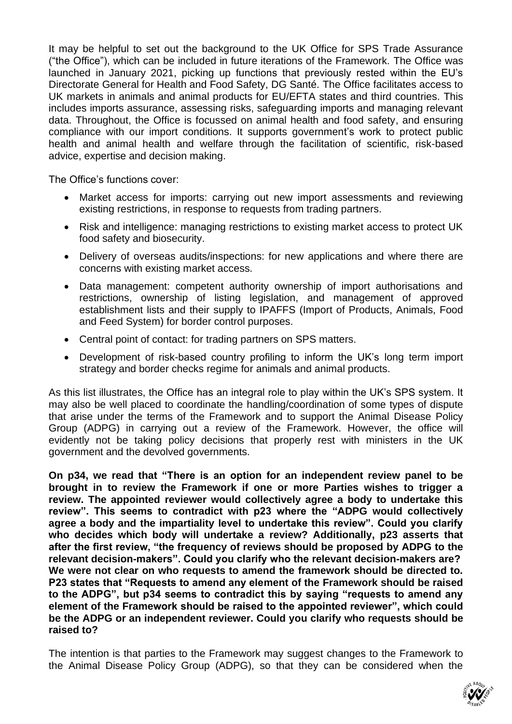It may be helpful to set out the background to the UK Office for SPS Trade Assurance ("the Office"), which can be included in future iterations of the Framework. The Office was launched in January 2021, picking up functions that previously rested within the EU's Directorate General for Health and Food Safety, DG Santé. The Office facilitates access to UK markets in animals and animal products for EU/EFTA states and third countries. This includes imports assurance, assessing risks, safeguarding imports and managing relevant data. Throughout, the Office is focussed on animal health and food safety, and ensuring compliance with our import conditions. It supports government's work to protect public health and animal health and welfare through the facilitation of scientific, risk-based advice, expertise and decision making.

The Office's functions cover:

- Market access for imports: carrying out new import assessments and reviewing existing restrictions, in response to requests from trading partners.
- Risk and intelligence: managing restrictions to existing market access to protect UK food safety and biosecurity.
- Delivery of overseas audits/inspections: for new applications and where there are concerns with existing market access.
- Data management: competent authority ownership of import authorisations and restrictions, ownership of listing legislation, and management of approved establishment lists and their supply to IPAFFS (Import of Products, Animals, Food and Feed System) for border control purposes.
- Central point of contact: for trading partners on SPS matters.
- Development of risk-based country profiling to inform the UK's long term import strategy and border checks regime for animals and animal products.

As this list illustrates, the Office has an integral role to play within the UK's SPS system. It may also be well placed to coordinate the handling/coordination of some types of dispute that arise under the terms of the Framework and to support the Animal Disease Policy Group (ADPG) in carrying out a review of the Framework. However, the office will evidently not be taking policy decisions that properly rest with ministers in the UK government and the devolved governments.

**On p34, we read that "There is an option for an independent review panel to be brought in to review the Framework if one or more Parties wishes to trigger a review. The appointed reviewer would collectively agree a body to undertake this review". This seems to contradict with p23 where the "ADPG would collectively agree a body and the impartiality level to undertake this review". Could you clarify who decides which body will undertake a review? Additionally, p23 asserts that after the first review, "the frequency of reviews should be proposed by ADPG to the relevant decision-makers". Could you clarify who the relevant decision-makers are? We were not clear on who requests to amend the framework should be directed to. P23 states that "Requests to amend any element of the Framework should be raised to the ADPG", but p34 seems to contradict this by saying "requests to amend any element of the Framework should be raised to the appointed reviewer", which could be the ADPG or an independent reviewer. Could you clarify who requests should be raised to?**

The intention is that parties to the Framework may suggest changes to the Framework to the Animal Disease Policy Group (ADPG), so that they can be considered when the

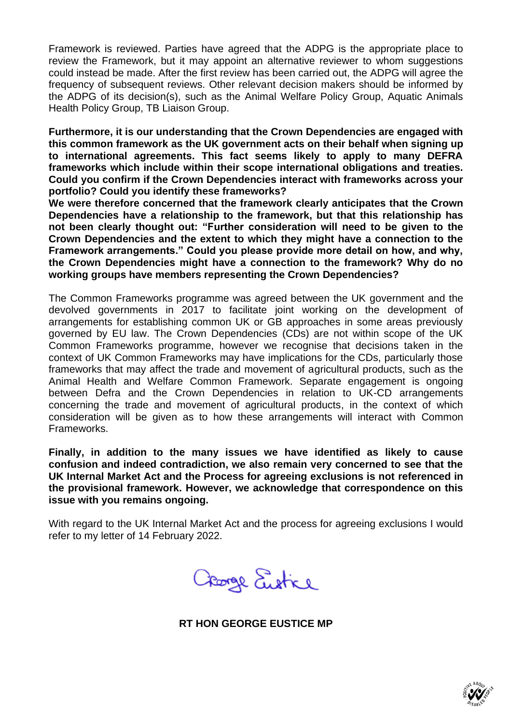Framework is reviewed. Parties have agreed that the ADPG is the appropriate place to review the Framework, but it may appoint an alternative reviewer to whom suggestions could instead be made. After the first review has been carried out, the ADPG will agree the frequency of subsequent reviews. Other relevant decision makers should be informed by the ADPG of its decision(s), such as the Animal Welfare Policy Group, Aquatic Animals Health Policy Group, TB Liaison Group.

**Furthermore, it is our understanding that the Crown Dependencies are engaged with this common framework as the UK government acts on their behalf when signing up to international agreements. This fact seems likely to apply to many DEFRA frameworks which include within their scope international obligations and treaties. Could you confirm if the Crown Dependencies interact with frameworks across your portfolio? Could you identify these frameworks?** 

**We were therefore concerned that the framework clearly anticipates that the Crown Dependencies have a relationship to the framework, but that this relationship has not been clearly thought out: "Further consideration will need to be given to the Crown Dependencies and the extent to which they might have a connection to the Framework arrangements." Could you please provide more detail on how, and why, the Crown Dependencies might have a connection to the framework? Why do no working groups have members representing the Crown Dependencies?** 

The Common Frameworks programme was agreed between the UK government and the devolved governments in 2017 to facilitate joint working on the development of arrangements for establishing common UK or GB approaches in some areas previously governed by EU law. The Crown Dependencies (CDs) are not within scope of the UK Common Frameworks programme, however we recognise that decisions taken in the context of UK Common Frameworks may have implications for the CDs, particularly those frameworks that may affect the trade and movement of agricultural products, such as the Animal Health and Welfare Common Framework. Separate engagement is ongoing between Defra and the Crown Dependencies in relation to UK-CD arrangements concerning the trade and movement of agricultural products, in the context of which consideration will be given as to how these arrangements will interact with Common Frameworks.

**Finally, in addition to the many issues we have identified as likely to cause confusion and indeed contradiction, we also remain very concerned to see that the UK Internal Market Act and the Process for agreeing exclusions is not referenced in the provisional framework. However, we acknowledge that correspondence on this issue with you remains ongoing.**

With regard to the UK Internal Market Act and the process for agreeing exclusions I would refer to my letter of 14 February 2022.

George Eustre

**RT HON GEORGE EUSTICE MP**

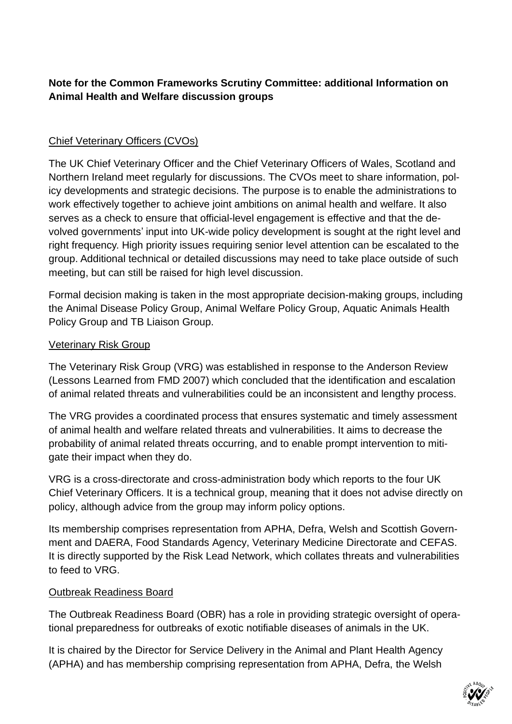# **Note for the Common Frameworks Scrutiny Committee: additional Information on Animal Health and Welfare discussion groups**

# Chief Veterinary Officers (CVOs)

The UK Chief Veterinary Officer and the Chief Veterinary Officers of Wales, Scotland and Northern Ireland meet regularly for discussions. The CVOs meet to share information, policy developments and strategic decisions. The purpose is to enable the administrations to work effectively together to achieve joint ambitions on animal health and welfare. It also serves as a check to ensure that official-level engagement is effective and that the devolved governments' input into UK-wide policy development is sought at the right level and right frequency. High priority issues requiring senior level attention can be escalated to the group. Additional technical or detailed discussions may need to take place outside of such meeting, but can still be raised for high level discussion.

Formal decision making is taken in the most appropriate decision-making groups, including the Animal Disease Policy Group, Animal Welfare Policy Group, Aquatic Animals Health Policy Group and TB Liaison Group.

### Veterinary Risk Group

The Veterinary Risk Group (VRG) was established in response to the Anderson Review (Lessons Learned from FMD 2007) which concluded that the identification and escalation of animal related threats and vulnerabilities could be an inconsistent and lengthy process.

The VRG provides a coordinated process that ensures systematic and timely assessment of animal health and welfare related threats and vulnerabilities. It aims to decrease the probability of animal related threats occurring, and to enable prompt intervention to mitigate their impact when they do.

VRG is a cross-directorate and cross-administration body which reports to the four UK Chief Veterinary Officers. It is a technical group, meaning that it does not advise directly on policy, although advice from the group may inform policy options.

Its membership comprises representation from APHA, Defra, Welsh and Scottish Government and DAERA, Food Standards Agency, Veterinary Medicine Directorate and CEFAS. It is directly supported by the Risk Lead Network, which collates threats and vulnerabilities to feed to VRG.

### Outbreak Readiness Board

The Outbreak Readiness Board (OBR) has a role in providing strategic oversight of operational preparedness for outbreaks of exotic notifiable diseases of animals in the UK.

It is chaired by the Director for Service Delivery in the Animal and Plant Health Agency (APHA) and has membership comprising representation from APHA, Defra, the Welsh